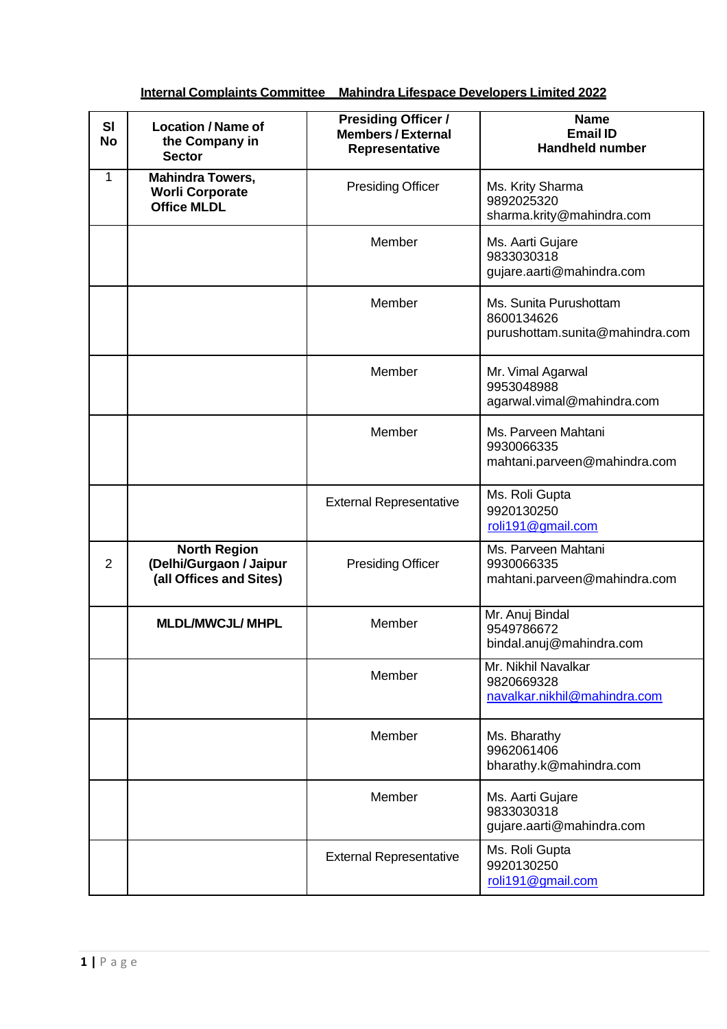| SI<br><b>No</b> | <b>Location / Name of</b><br>the Company in<br><b>Sector</b>              | <b>Presiding Officer /</b><br><b>Members / External</b><br>Representative | <b>Name</b><br><b>Email ID</b><br><b>Handheld number</b>                |
|-----------------|---------------------------------------------------------------------------|---------------------------------------------------------------------------|-------------------------------------------------------------------------|
| 1               | <b>Mahindra Towers,</b><br><b>Worli Corporate</b><br><b>Office MLDL</b>   | <b>Presiding Officer</b>                                                  | Ms. Krity Sharma<br>9892025320<br>sharma.krity@mahindra.com             |
|                 |                                                                           | Member                                                                    | Ms. Aarti Gujare<br>9833030318<br>gujare.aarti@mahindra.com             |
|                 |                                                                           | Member                                                                    | Ms. Sunita Purushottam<br>8600134626<br>purushottam.sunita@mahindra.com |
|                 |                                                                           | Member                                                                    | Mr. Vimal Agarwal<br>9953048988<br>agarwal.vimal@mahindra.com           |
|                 |                                                                           | Member                                                                    | Ms. Parveen Mahtani<br>9930066335<br>mahtani.parveen@mahindra.com       |
|                 |                                                                           | <b>External Representative</b>                                            | Ms. Roli Gupta<br>9920130250<br>roli191@gmail.com                       |
| $\overline{2}$  | <b>North Region</b><br>(Delhi/Gurgaon / Jaipur<br>(all Offices and Sites) | <b>Presiding Officer</b>                                                  | Ms. Parveen Mahtani<br>9930066335<br>mahtani.parveen@mahindra.com       |
|                 | <b>MLDL/MWCJL/ MHPL</b>                                                   | Member                                                                    | Mr. Anuj Bindal<br>9549786672<br>bindal.anuj@mahindra.com               |
|                 |                                                                           | Member                                                                    | Mr. Nikhil Navalkar<br>9820669328<br>navalkar.nikhil@mahindra.com       |
|                 |                                                                           | Member                                                                    | Ms. Bharathy<br>9962061406<br>bharathy.k@mahindra.com                   |
|                 |                                                                           | Member                                                                    | Ms. Aarti Gujare<br>9833030318<br>gujare.aarti@mahindra.com             |
|                 |                                                                           | <b>External Representative</b>                                            | Ms. Roli Gupta<br>9920130250<br>roli191@gmail.com                       |

## **Internal Complaints Committee \_ Mahindra Lifespace Developers Limited 2022**